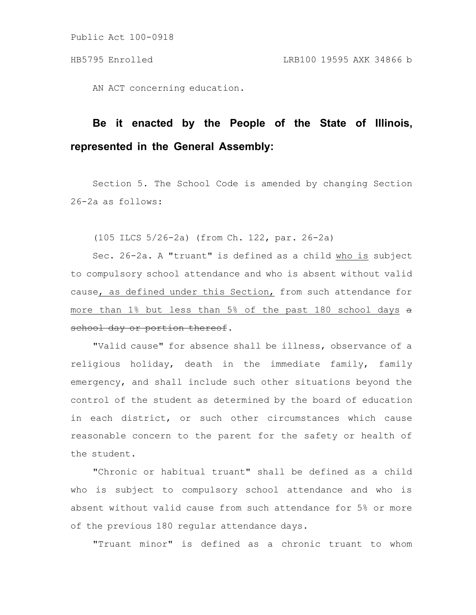Public Act 100-0918

AN ACT concerning education.

## **Be it enacted by the People of the State of Illinois, represented in the General Assembly:**

Section 5. The School Code is amended by changing Section 26-2a as follows:

(105 ILCS 5/26-2a) (from Ch. 122, par. 26-2a)

Sec. 26-2a. A "truant" is defined as a child who is subject to compulsory school attendance and who is absent without valid cause, as defined under this Section, from such attendance for more than 1% but less than 5% of the past 180 school days a school day or portion thereof.

"Valid cause" for absence shall be illness, observance of a religious holiday, death in the immediate family, family emergency, and shall include such other situations beyond the control of the student as determined by the board of education in each district, or such other circumstances which cause reasonable concern to the parent for the safety or health of the student.

"Chronic or habitual truant" shall be defined as a child who is subject to compulsory school attendance and who is absent without valid cause from such attendance for 5% or more of the previous 180 regular attendance days.

"Truant minor" is defined as a chronic truant to whom